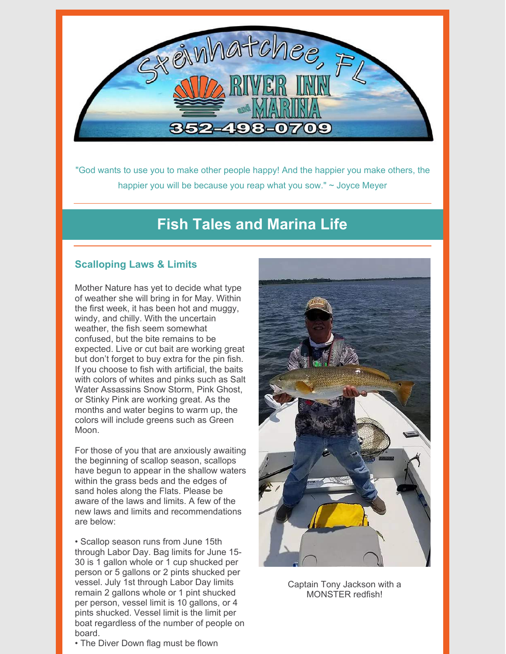

"God wants to use you to make other people happy! And the happier you make others, the happier you will be because you reap what you sow." ~ Joyce Meyer

## **Fish Tales and Marina Life**

### **Scalloping Laws & Limits**

Mother Nature has yet to decide what type of weather she will bring in for May. Within the first week, it has been hot and muggy, windy, and chilly. With the uncertain weather, the fish seem somewhat confused, but the bite remains to be expected. Live or cut bait are working great but don't forget to buy extra for the pin fish. If you choose to fish with artificial, the baits with colors of whites and pinks such as Salt Water Assassins Snow Storm, Pink Ghost, or Stinky Pink are working great. As the months and water begins to warm up, the colors will include greens such as Green Moon.

For those of you that are anxiously awaiting the beginning of scallop season, scallops have begun to appear in the shallow waters within the grass beds and the edges of sand holes along the Flats. Please be aware of the laws and limits. A few of the new laws and limits and recommendations are below:

• Scallop season runs from June 15th through Labor Day. Bag limits for June 15- 30 is 1 gallon whole or 1 cup shucked per person or 5 gallons or 2 pints shucked per vessel. July 1st through Labor Day limits remain 2 gallons whole or 1 pint shucked per person, vessel limit is 10 gallons, or 4 pints shucked. Vessel limit is the limit per boat regardless of the number of people on board.

• The Diver Down flag must be flown



Captain Tony Jackson with a MONSTER redfish!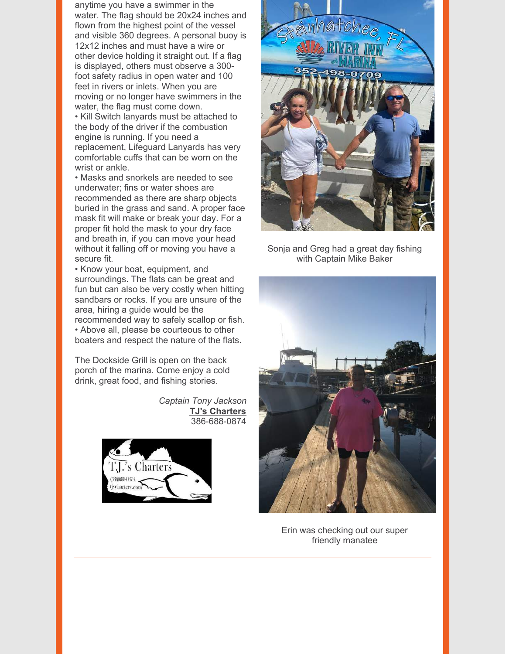anytime you have a swimmer in the water. The flag should be 20x24 inches and flown from the highest point of the vessel and visible 360 degrees. A personal buoy is 12x12 inches and must have a wire or other device holding it straight out. If a flag is displayed, others must observe a 300 foot safety radius in open water and 100 feet in rivers or inlets. When you are moving or no longer have swimmers in the water, the flag must come down. • Kill Switch lanyards must be attached to the body of the driver if the combustion engine is running. If you need a replacement, Lifeguard Lanyards has very comfortable cuffs that can be worn on the wrist or ankle.

• Masks and snorkels are needed to see underwater; fins or water shoes are recommended as there are sharp objects buried in the grass and sand. A proper face mask fit will make or break your day. For a proper fit hold the mask to your dry face and breath in, if you can move your head without it falling off or moving you have a secure fit.

• Know your boat, equipment, and surroundings. The flats can be great and fun but can also be very costly when hitting sandbars or rocks. If you are unsure of the area, hiring a guide would be the recommended way to safely scallop or fish. • Above all, please be courteous to other boaters and respect the nature of the flats.

The Dockside Grill is open on the back porch of the marina. Come enjoy a cold drink, great food, and fishing stories.

> *Captain Tony Jackson* **TJ's [Charters](http://www.tjscharters.com/)** 386-688-0874





Sonja and Greg had a great day fishing with Captain Mike Baker



Erin was checking out our super friendly manatee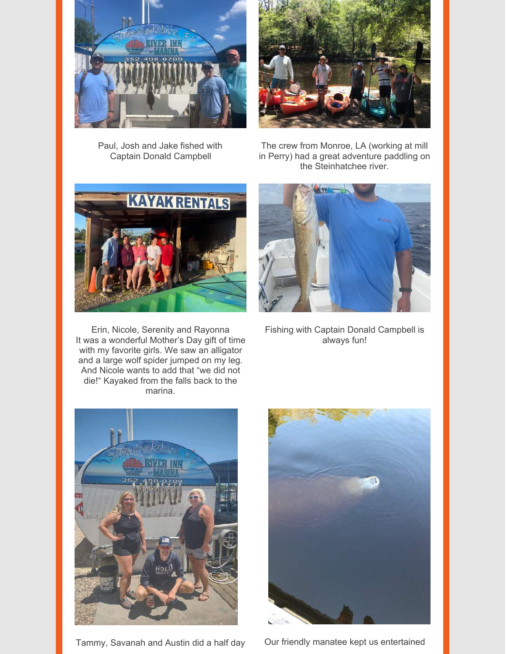

Paul, Josh and Jake fished with Captain Donald Campbell

The crew from Monroe, LA (working at mill in Perry) had a great adventure paddling on the Steinhatchee river.

![](_page_2_Picture_4.jpeg)

Erin, Nicole, Serenity and Rayonna It was a wonderful Mother's Day gift of time with my favorite girls. We saw an alligator and a large wolf spider jumped on my leg. And Nicole wants to add that "we did not die!" Kayaked from the falls back to the marina.

![](_page_2_Picture_6.jpeg)

Fishing with Captain Donald Campbell is always fun!

![](_page_2_Picture_8.jpeg)

Tammy, Savanah and Austin did a half day Our friendly manatee kept us entertained

![](_page_2_Picture_10.jpeg)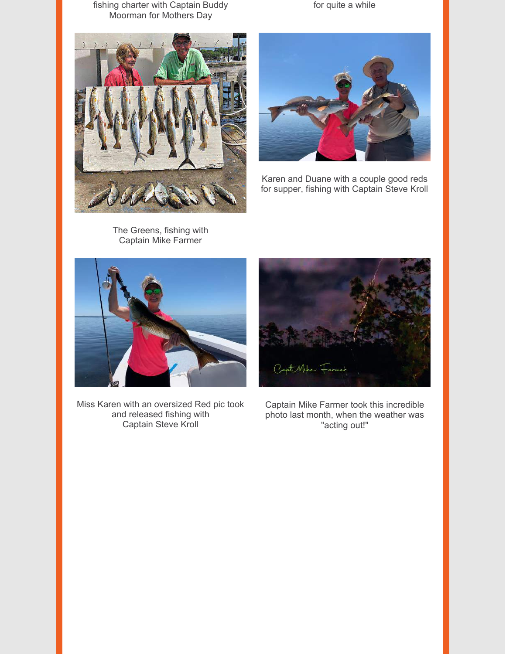fishing charter with Captain Buddy Moorman for Mothers Day

![](_page_3_Picture_1.jpeg)

The Greens, fishing with Captain Mike Farmer

![](_page_3_Picture_3.jpeg)

for quite a while

Karen and Duane with a couple good reds for supper, fishing with Captain Steve Kroll

![](_page_3_Picture_5.jpeg)

Miss Karen with an oversized Red pic took and released fishing with Captain Steve Kroll

![](_page_3_Picture_7.jpeg)

Captain Mike Farmer took this incredible photo last month, when the weather was "acting out!"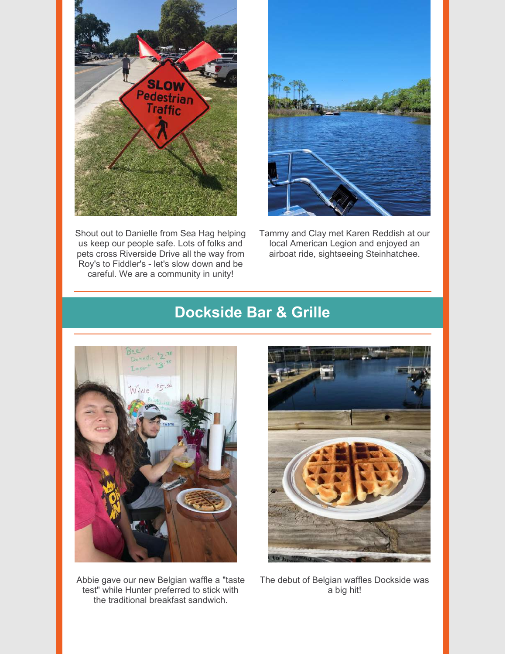![](_page_4_Picture_0.jpeg)

Shout out to Danielle from Sea Hag helping us keep our people safe. Lots of folks and pets cross Riverside Drive all the way from Roy's to Fiddler's - let's slow down and be careful. We are a community in unity!

![](_page_4_Picture_2.jpeg)

Tammy and Clay met Karen Reddish at our local American Legion and enjoyed an airboat ride, sightseeing Steinhatchee.

# **Dockside Bar & Grille**

![](_page_4_Picture_5.jpeg)

Abbie gave our new Belgian waffle a "taste test" while Hunter preferred to stick with the traditional breakfast sandwich.

![](_page_4_Picture_7.jpeg)

The debut of Belgian waffles Dockside was a big hit!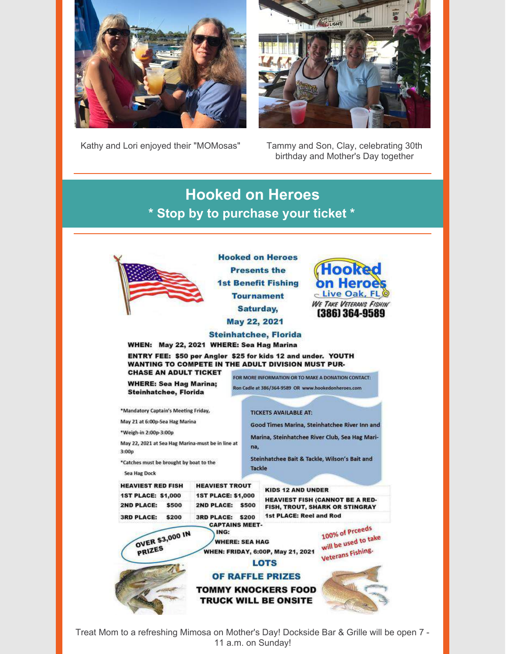![](_page_5_Picture_0.jpeg)

**ALIGHT** 

Kathy and Lori enjoyed their "MOMosas" Tammy and Son, Clay, celebrating 30th

birthday and Mother's Day together

**Hooked on Heroes \* Stop by to purchase your ticket \***

![](_page_5_Picture_5.jpeg)

**Hooked on Heroes Presents the 1st Benefit Fishing Tournament** Saturday, May 22, 2021

![](_page_5_Picture_7.jpeg)

**Steinhatchee, Florida** WHEN: May 22, 2021 WHERE: Sea Hag Marina

ENTRY FEE: \$50 per Angler \$25 for kids 12 and under. YOUTH WANTING TO COMPETE IN THE ADULT DIVISION MUST PUR-**CHASE AN ADULT TICKET** 

**WHERE: Sea Hag Marina; Steinhatchee, Florida** 

May 22, 2021 at Sea Hag Marina-must be in line at

\*Mandatory Captain's Meeting Friday,

\*Catches must be brought by boat to the

OVER \$3,000 IN

PRIZES

May 21 at 6:00p-Sea Hag Marina

\*Weigh-in 2:00p-3:00p

 $3:00p$ 

FOR MORE INFORMATION OR TO MAKE A DONATION CONTACT:

Ron Cadle at 386/364-9589 OR www.hookedonheroes.com

**TICKETS AVAILABLE AT:** 

Good Times Marina, Steinhatchee River Inn and

Marina, Steinhatchee River Club, Sea Hag Marina,

Steinhatchee Bait & Tackle, Wilson's Bait and **Tackle** 

Sea Hag Dock **HEAVIEST RED FISH HEAVIEST TROUT 1ST PLACE: \$1,000 1ST PLACE: \$1,000 2ND PLACE:** \$500 2ND PLACE: \$500 **3RD PLACE:** 3RD PLACE: \$200 \$200

**KIDS 12 AND UNDER HEAVIEST FISH (CANNOT BE A RED-**FISH, TROUT, SHARK OR STINGRAY 1st PLACE: Reel and Rod

100% of Proceeds will be used to take **WHEN: FRIDAY, 6:00P, May 21, 2021** 

![](_page_5_Picture_20.jpeg)

![](_page_5_Picture_21.jpeg)

**LOTS** 

**CAPTAINS MEET-**

**WHERE: SEA HAG** 

ING:

Treat Mom to a refreshing Mimosa on Mother's Day! Dockside Bar & Grille will be open 7 - 11 a.m. on Sunday!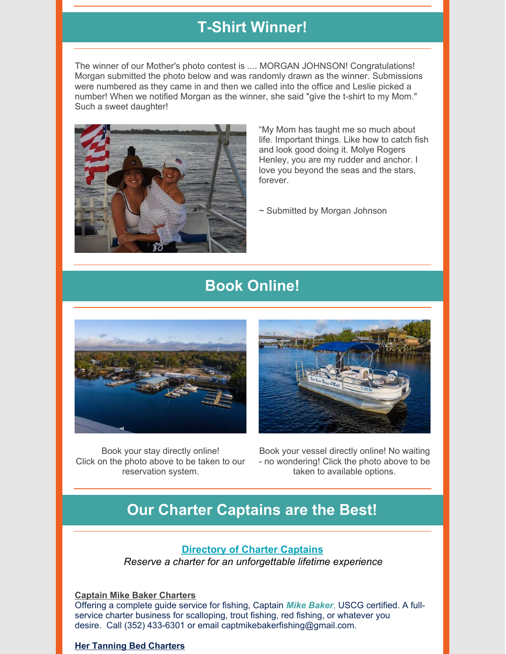# **T-Shirt Winner!**

The winner of our Mother's photo contest is .... MORGAN JOHNSON! Congratulations! Morgan submitted the photo below and was randomly drawn as the winner. Submissions were numbered as they came in and then we called into the office and Leslie picked a number! When we notified Morgan as the winner, she said "give the t-shirt to my Mom." Such a sweet daughter!

![](_page_6_Picture_2.jpeg)

"My Mom has taught me so much about life. Important things. Like how to catch fish and look good doing it. Molye Rogers Henley, you are my rudder and anchor. I love you beyond the seas and the stars, forever.

~ Submitted by Morgan Johnson

## **Book Online!**

![](_page_6_Picture_6.jpeg)

Book your stay directly online! Click on the photo above to be taken to our reservation system.

![](_page_6_Picture_8.jpeg)

Book your vessel directly online! No waiting - no wondering! Click the photo above to be taken to available options.

## **Our Charter Captains are the Best!**

### **[Directory](https://www.riverinnandmarina.com/fishing) of Charter Captains**

*Reserve a charter for an unforgettable lifetime experience*

**Captain Mike Baker [Charters](https://www.facebook.com/Steinhatcheecharterfishing/)**

Offering a complete guide service for fishing, Captain *Mike Baker*, USCG certified. A fullservice charter business for scalloping, trout fishing, red fishing, or whatever you desire. Call (352) 433-6301 or email captmikebakerfishing@gmail.com.

### **Her Tanning Bed [Charters](http://www.hertanningbedscallopcharters.com/)**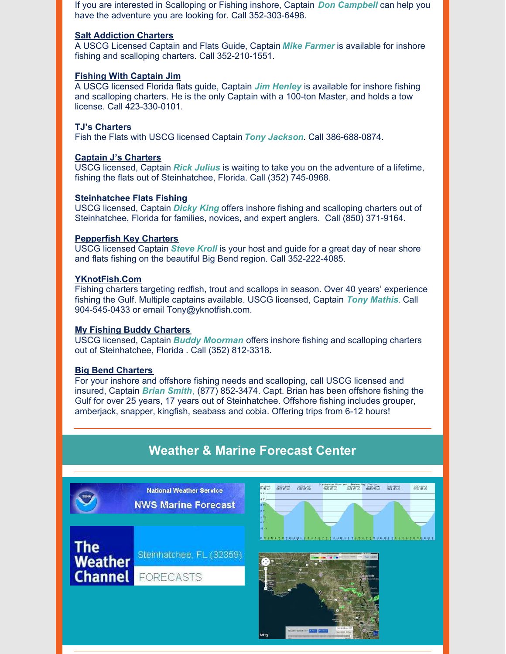If you are interested in Scalloping or Fishing inshore, Captain *Don Campbell* can help you have the adventure you are looking for. Call 352-303-6498.

#### **Salt [Addiction](https://www.sa-charters.com/) Charters**

A USCG Licensed Captain and Flats Guide, Captain *Mike Farmer* is available for inshore fishing and scalloping charters. Call 352-210-1551.

#### **Fishing With [Captain](http://fishingwithcaptainjim.com/) Jim**

A USCG licensed Florida flats guide, Captain *Jim Henley* is available for inshore fishing and scalloping charters. He is the only Captain with a 100-ton Master, and holds a tow license. Call 423-330-0101.

#### **TJ's [Charters](http://www.tjscharters.com/)**

Fish the Flats with USCG licensed Captain *Tony Jackson*. Call 386-688-0874.

#### **Captain J's [Charters](https://www.facebook.com/captainjcharters/)**

USCG licensed, Captain *Rick Julius* is waiting to take you on the adventure of a lifetime, fishing the flats out of Steinhatchee, Florida. Call (352) 745-0968.

#### **[Steinhatchee](https://www.facebook.com/pg/cptndickyking/about/?ref=page_internal) Flats Fishing**

USCG licensed, Captain *Dicky King* offers inshore fishing and scalloping charters out of Steinhatchee, Florida for families, novices, and expert anglers. Call (850) 371-9164.

#### **[Pepperfish](https://www.pepperfishkey.com/) Key Charters**

USCG licensed Captain *Steve Kroll* is your host and guide for a great day of near shore and flats fishing on the beautiful Big Bend region. Call 352-222-4085.

#### **[YKnotFish](https://www.yknotfish.com/).Com**

Fishing charters targeting redfish, trout and scallops in season. Over 40 years' experience fishing the Gulf. Multiple captains available. USCG licensed, Captain *Tony Mathis*. Call 904-545-0433 or email Tony@yknotfish.com.

#### **My Fishing Buddy [Charters](https://myfishingbuddycharters.com/)**

USCG licensed, Captain *Buddy Moorman* offers inshore fishing and scalloping charters out of Steinhatchee, Florida . Call (352) 812-3318.

#### **Big Bend [Charters](https://www.facebook.com/bigbendcharters/)**

For your inshore and offshore fishing needs and scalloping, call USCG licensed and insured, Captain *Brian Smith*, (877) 852-3474. Capt. Brian has been offshore fishing the Gulf for over 25 years, 17 years out of Steinhatchee. Offshore fishing includes grouper, amberjack, snapper, kingfish, seabass and cobia. Offering trips from 6-12 hours!

## **Weather & Marine Forecast Center**

![](_page_7_Picture_20.jpeg)